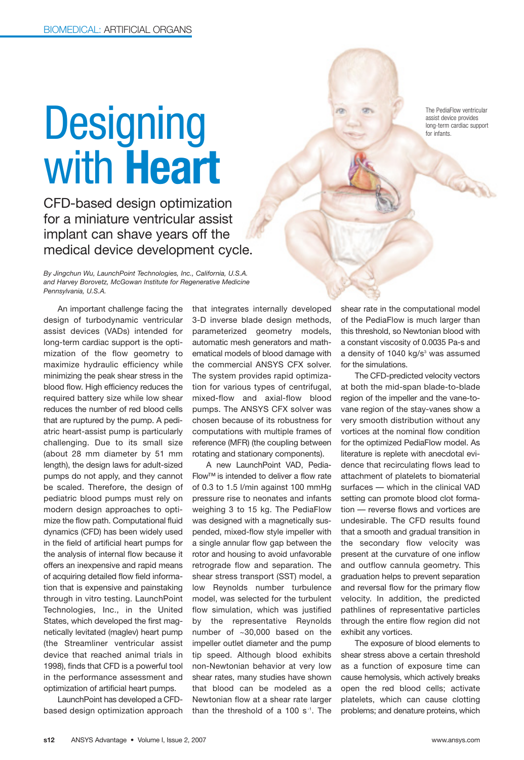## **Designing** with **Heart**

CFD-based design optimization for a miniature ventricular assist implant can shave years off the medical device development cycle.

*By Jingchun Wu, LaunchPoint Technologies, Inc., California, U.S.A. and Harvey Borovetz, McGowan Institute for Regenerative Medicine Pennsylvania, U.S.A.*

An important challenge facing the design of turbodynamic ventricular assist devices (VADs) intended for long-term cardiac support is the optimization of the flow geometry to maximize hydraulic efficiency while minimizing the peak shear stress in the blood flow. High efficiency reduces the required battery size while low shear reduces the number of red blood cells that are ruptured by the pump. A pediatric heart-assist pump is particularly challenging. Due to its small size (about 28 mm diameter by 51 mm length), the design laws for adult-sized pumps do not apply, and they cannot be scaled. Therefore, the design of pediatric blood pumps must rely on modern design approaches to optimize the flow path. Computational fluid dynamics (CFD) has been widely used in the field of artificial heart pumps for the analysis of internal flow because it offers an inexpensive and rapid means of acquiring detailed flow field information that is expensive and painstaking through in vitro testing. LaunchPoint Technologies, Inc., in the United States, which developed the first magnetically levitated (maglev) heart pump (the Streamliner ventricular assist device that reached animal trials in 1998), finds that CFD is a powerful tool in the performance assessment and optimization of artificial heart pumps.

LaunchPoint has developed a CFDbased design optimization approach that integrates internally developed 3-D inverse blade design methods, parameterized geometry models, automatic mesh generators and mathematical models of blood damage with the commercial ANSYS CFX solver. The system provides rapid optimization for various types of centrifugal, mixed-flow and axial-flow blood pumps. The ANSYS CFX solver was chosen because of its robustness for computations with multiple frames of reference (MFR) (the coupling between rotating and stationary components).

A new LaunchPoint VAD, Pedia-Flow™ is intended to deliver a flow rate of 0.3 to 1.5 l/min against 100 mmHg pressure rise to neonates and infants weighing 3 to 15 kg. The PediaFlow was designed with a magnetically suspended, mixed-flow style impeller with a single annular flow gap between the rotor and housing to avoid unfavorable retrograde flow and separation. The shear stress transport (SST) model, a low Reynolds number turbulence model, was selected for the turbulent flow simulation, which was justified by the representative Reynolds number of ~30,000 based on the impeller outlet diameter and the pump tip speed. Although blood exhibits non-Newtonian behavior at very low shear rates, many studies have shown that blood can be modeled as a Newtonian flow at a shear rate larger than the threshold of a 100 s $-1$ . The shear rate in the computational model of the PediaFlow is much larger than this threshold, so Newtonian blood with a constant viscosity of 0.0035 Pa-s and a density of 1040 kg/s<sup>3</sup> was assumed for the simulations.

The CFD-predicted velocity vectors at both the mid-span blade-to-blade region of the impeller and the vane-tovane region of the stay-vanes show a very smooth distribution without any vortices at the nominal flow condition for the optimized PediaFlow model. As literature is replete with anecdotal evidence that recirculating flows lead to attachment of platelets to biomaterial surfaces — which in the clinical VAD setting can promote blood clot formation — reverse flows and vortices are undesirable. The CFD results found that a smooth and gradual transition in the secondary flow velocity was present at the curvature of one inflow and outflow cannula geometry. This graduation helps to prevent separation and reversal flow for the primary flow velocity. In addition, the predicted pathlines of representative particles through the entire flow region did not exhibit any vortices.

The exposure of blood elements to shear stress above a certain threshold as a function of exposure time can cause hemolysis, which actively breaks open the red blood cells; activate platelets, which can cause clotting problems; and denature proteins, which

The PediaFlow ventricular assist device provides long-term cardiac support for infants.

**CONTROLL BOOM**